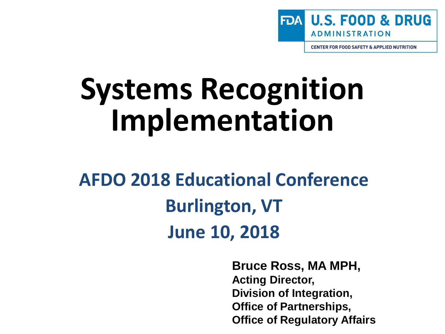

**CENTER FOR FOOD SAFETY & APPLIED NUTRITION** 

# **Systems Recognition Implementation**

**AFDO 2018 Educational Conference Burlington, VT June 10, 2018**

> **Bruce Ross, MA MPH, Acting Director, Division of Integration, Office of Partnerships, Office of Regulatory Affairs**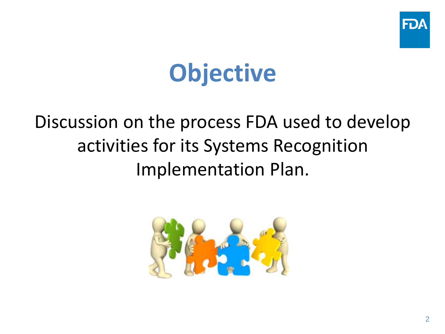

## **Objective**

#### Discussion on the process FDA used to develop activities for its Systems Recognition Implementation Plan.

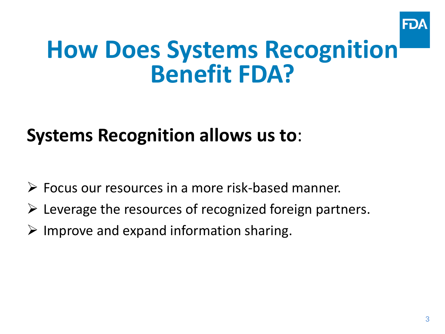

## **How Does Systems Recognition Benefit FDA?**

#### **Systems Recognition allows us to**:

- Focus our resources in a more risk-based manner.
- $\triangleright$  Leverage the resources of recognized foreign partners.
- $\triangleright$  Improve and expand information sharing.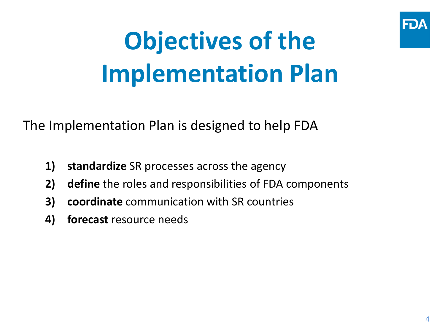

# **Objectives of the Implementation Plan**

The Implementation Plan is designed to help FDA

- **1) standardize** SR processes across the agency
- **2) define** the roles and responsibilities of FDA components
- **3) coordinate** communication with SR countries
- **4) forecast** resource needs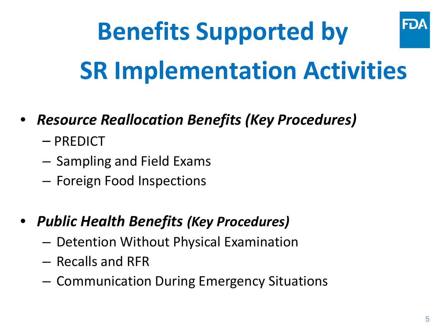### FDA **Benefits Supported by SR Implementation Activities**

- *Resource Reallocation Benefits (Key Procedures)*
	- PREDICT
	- Sampling and Field Exams
	- Foreign Food Inspections
- *Public Health Benefits (Key Procedures)*
	- Detention Without Physical Examination
	- Recalls and RFR
	- Communication During Emergency Situations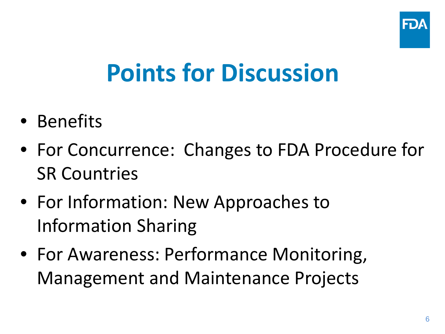

## **Points for Discussion**

- Benefits
- For Concurrence: Changes to FDA Procedure for SR Countries
- For Information: New Approaches to Information Sharing
- For Awareness: Performance Monitoring, Management and Maintenance Projects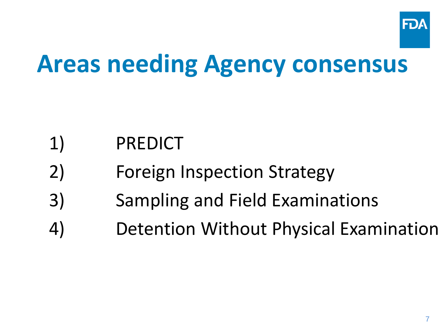

## **Areas needing Agency consensus**

- 1) PREDICT
- 2) Foreign Inspection Strategy
- 3) Sampling and Field Examinations
- 4) Detention Without Physical Examination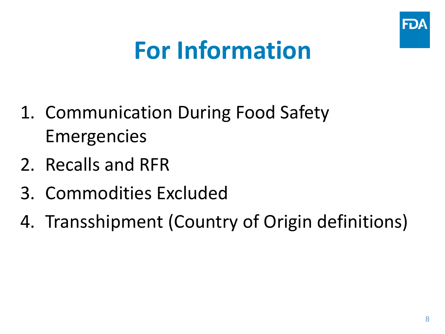

## **For Information**

- 1. Communication During Food Safety Emergencies
- 2. Recalls and RFR
- 3. Commodities Excluded
- 4. Transshipment (Country of Origin definitions)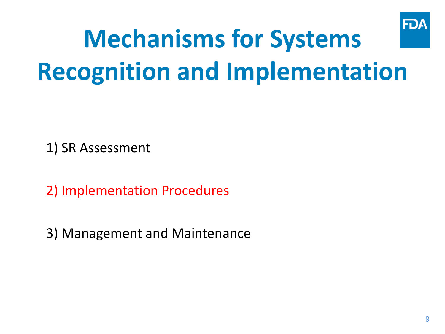

# **Mechanisms for Systems Recognition and Implementation**

1) SR Assessment

2) Implementation Procedures

3) Management and Maintenance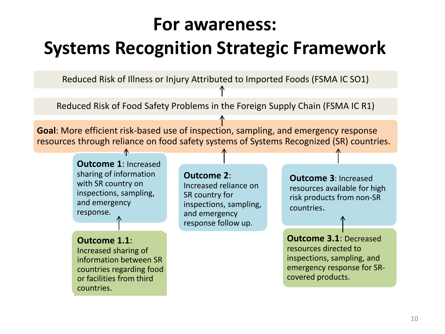#### **For awareness:**

#### **Systems Recognition Strategic Framework**

Reduced Risk of Illness or Injury Attributed to Imported Foods (FSMA IC SO1)

Reduced Risk of Food Safety Problems in the Foreign Supply Chain (FSMA IC R1)

**Goal**: More efficient risk-based use of inspection, sampling, and emergency response resources through reliance on food safety systems of Systems Recognized (SR) countries.

> **Outcome 1**: Increased sharing of information with SR country on inspections, sampling, and emergency response.

**Outcome 1.1**: Increased sharing of information between SR countries regarding food or facilities from third countries.

#### **Outcome 2**:

Increased reliance on SR country for inspections, sampling, and emergency response follow up.

**Outcome 3**: Increased resources available for high risk products from non-SR countries.

**Outcome 3.1**: Decreased resources directed to inspections, sampling, and emergency response for SRcovered products.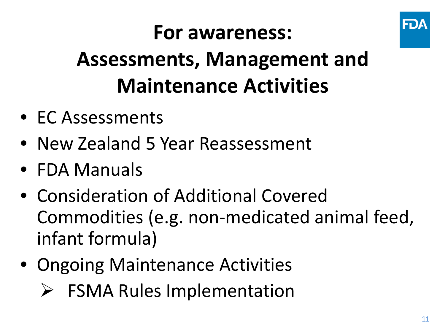

## **For awareness:**

## **Assessments, Management and Maintenance Activities**

- EC Assessments
- New Zealand 5 Year Reassessment
- FDA Manuals
- Consideration of Additional Covered Commodities (e.g. non-medicated animal feed, infant formula)
- Ongoing Maintenance Activities
	- $\triangleright$  FSMA Rules Implementation